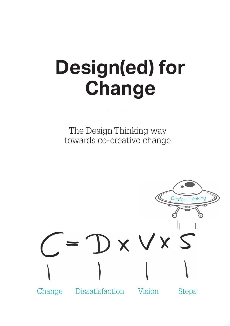# **Design(ed) for Change**

The Design Thinking way towards co-creative change

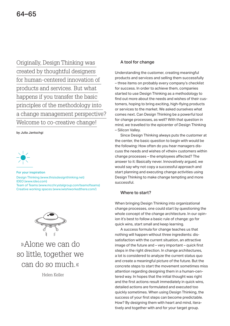Originally, Design Thinking was created by thoughtful designers for human-centered innovation of products and services. But what happens if you transfer the basic principles of the methodology into a change management perspective? Welcome to co-creative change!

by Julia Jantschgi



For your inspiration Design Thinking (www.thisisdesignthinking.net) IDEO (www.ideo.com) Team of Teams (www.mcchrystalgroup.com/teamofteams) Creative working spaces (www.iwishiworkedthere.com/)



»Alone we can do so little, together we can do so much.«

Helen Keller

# A tool for change

Understanding the customer, creating meaningful products and services and selling them successfully – three items on probably every company's checklist for success. In order to achieve them, companies started to use Design Thinking as a methodology to find out more about the needs and wishes of their customers, hoping to bring exciting, high-flying products or services to the market. We asked ourselves what comes next. Can Design Thinking be a powerful tool for change processes, as well? With that question in mind, we travelled to the epicenter of Design Thinking – Silicon Valley.

 Since Design Thinking always puts the customer at the center, the basic question to begin with would be the following: How often do you hear managers discuss the needs and wishes of »their« customers within  $change$  processes  $-$  the employees affected? The answer to it: Basically never. Innovatively argued, we would say why not copy a successful approach and start planning and executing change activities using Design Thinking to make change tempting and more successful.

## Where to start?

When bringing Design Thinking into organizational change processes, one could start by questioning the whole concept of the change architecture. In our opinion it's best to follow a basic rule of change: go for quick wins, start small and keep learning.

 A success formula for change teaches us that nothing will happen without three ingredients: dissatisfaction with the current situation, an attractive image of the future and  $-$  very important  $-$  quick first steps in the right direction. In change architectures, a lot is considered to analyze the current status quo and create a meaningful picture of the future. But the concrete steps to start the movement sometimes miss attention regarding designing them in a human-centered way. In hopes that the initial thought was right and the first actions result immediately in quick wins, detailed actions are formulated and executed too quickly sometimes. When using Design Thinking, the success of your first steps can become predictable. How? By designing them with heart and mind, iteratively and together with and for your target group.